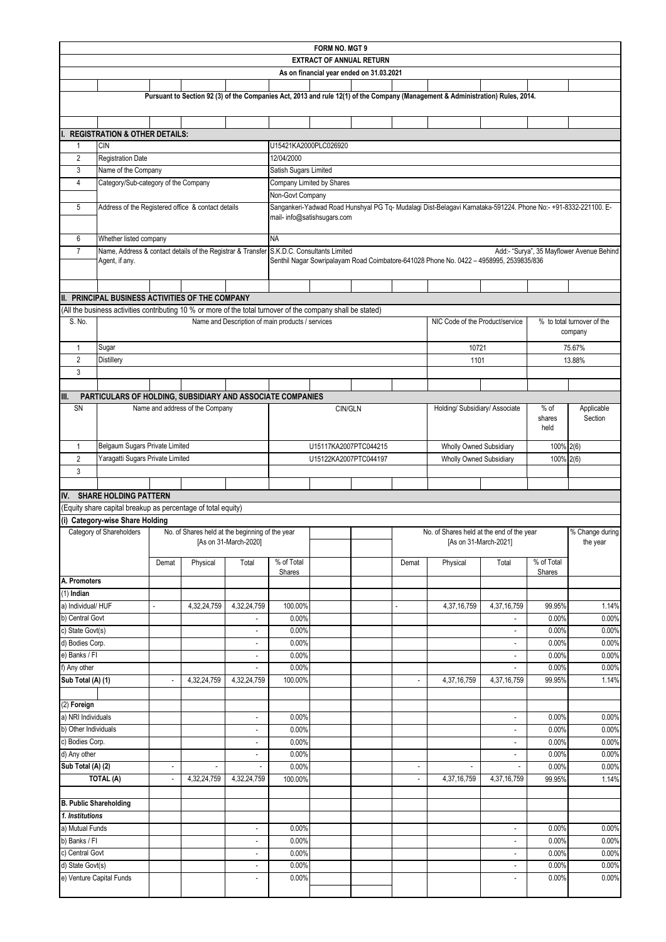| <b>FORM NO. MGT 9</b>               |                                                                                                              |                          |                                                 |                                                      |                       |                                          |  |                          |                                                                                                                                |                                            |                          |                                           |  |
|-------------------------------------|--------------------------------------------------------------------------------------------------------------|--------------------------|-------------------------------------------------|------------------------------------------------------|-----------------------|------------------------------------------|--|--------------------------|--------------------------------------------------------------------------------------------------------------------------------|--------------------------------------------|--------------------------|-------------------------------------------|--|
| <b>EXTRACT OF ANNUAL RETURN</b>     |                                                                                                              |                          |                                                 |                                                      |                       |                                          |  |                          |                                                                                                                                |                                            |                          |                                           |  |
|                                     |                                                                                                              |                          |                                                 |                                                      |                       | As on financial year ended on 31.03.2021 |  |                          |                                                                                                                                |                                            |                          |                                           |  |
|                                     |                                                                                                              |                          |                                                 |                                                      |                       |                                          |  |                          |                                                                                                                                |                                            |                          |                                           |  |
|                                     |                                                                                                              |                          |                                                 |                                                      |                       |                                          |  |                          | Pursuant to Section 92 (3) of the Companies Act, 2013 and rule 12(1) of the Company (Management & Administration) Rules, 2014. |                                            |                          |                                           |  |
|                                     |                                                                                                              |                          |                                                 |                                                      |                       |                                          |  |                          |                                                                                                                                |                                            |                          |                                           |  |
|                                     | <b>REGISTRATION &amp; OTHER DETAILS:</b>                                                                     |                          |                                                 |                                                      |                       |                                          |  |                          |                                                                                                                                |                                            |                          |                                           |  |
| $\mathbf{1}$                        | <b>CIN</b>                                                                                                   |                          |                                                 |                                                      | U15421KA2000PLC026920 |                                          |  |                          |                                                                                                                                |                                            |                          |                                           |  |
| 2                                   | <b>Registration Date</b>                                                                                     |                          |                                                 |                                                      | 12/04/2000            |                                          |  |                          |                                                                                                                                |                                            |                          |                                           |  |
| 3<br>4                              | Name of the Company                                                                                          |                          |                                                 |                                                      | Satish Sugars Limited |                                          |  |                          |                                                                                                                                |                                            |                          |                                           |  |
|                                     | Category/Sub-category of the Company                                                                         |                          |                                                 |                                                      | Non-Govt Company      | Company Limited by Shares                |  |                          |                                                                                                                                |                                            |                          |                                           |  |
| 5                                   | Address of the Registered office & contact details                                                           |                          |                                                 |                                                      |                       |                                          |  |                          | Sangankeri-Yadwad Road Hunshyal PG Tq- Mudalagi Dist-Belagavi Karnataka-591224. Phone No:- +91-8332-221100. E-                 |                                            |                          |                                           |  |
|                                     |                                                                                                              |                          |                                                 |                                                      |                       | mail- info@satishsugars.com              |  |                          |                                                                                                                                |                                            |                          |                                           |  |
| 6                                   | Whether listed company                                                                                       |                          |                                                 |                                                      | <b>NA</b>             |                                          |  |                          |                                                                                                                                |                                            |                          |                                           |  |
| $\overline{7}$                      | Name, Address & contact details of the Registrar & Transfer S.K.D.C. Consultants Limited                     |                          |                                                 |                                                      |                       |                                          |  |                          |                                                                                                                                |                                            |                          | Add:- "Surya", 35 Mayflower Avenue Behind |  |
|                                     | Agent, if any.                                                                                               |                          |                                                 |                                                      |                       |                                          |  |                          | Senthil Nagar Sowripalayam Road Coimbatore-641028 Phone No. 0422 - 4958995, 2539835/836                                        |                                            |                          |                                           |  |
|                                     |                                                                                                              |                          |                                                 |                                                      |                       |                                          |  |                          |                                                                                                                                |                                            |                          |                                           |  |
|                                     | II. PRINCIPAL BUSINESS ACTIVITIES OF THE COMPANY                                                             |                          |                                                 |                                                      |                       |                                          |  |                          |                                                                                                                                |                                            |                          |                                           |  |
|                                     | (All the business activities contributing 10 % or more of the total turnover of the company shall be stated) |                          |                                                 |                                                      |                       |                                          |  |                          |                                                                                                                                |                                            |                          |                                           |  |
| S. No.                              |                                                                                                              |                          |                                                 | Name and Description of main products / services     |                       |                                          |  |                          | NIC Code of the Product/service                                                                                                |                                            |                          | % to total turnover of the                |  |
|                                     |                                                                                                              |                          |                                                 |                                                      |                       |                                          |  |                          |                                                                                                                                |                                            |                          | company                                   |  |
| 1                                   | Sugar                                                                                                        |                          |                                                 |                                                      |                       |                                          |  |                          | 10721                                                                                                                          |                                            |                          | 75.67%                                    |  |
| $\overline{2}$                      | Distillery                                                                                                   |                          |                                                 |                                                      |                       |                                          |  |                          | 1101                                                                                                                           |                                            |                          | 13.88%                                    |  |
| 3                                   |                                                                                                              |                          |                                                 |                                                      |                       |                                          |  |                          |                                                                                                                                |                                            |                          |                                           |  |
|                                     |                                                                                                              |                          |                                                 |                                                      |                       |                                          |  |                          |                                                                                                                                |                                            |                          |                                           |  |
| III.                                | PARTICULARS OF HOLDING, SUBSIDIARY AND ASSOCIATE COMPANIES                                                   |                          |                                                 |                                                      |                       |                                          |  |                          |                                                                                                                                |                                            |                          |                                           |  |
| SN                                  |                                                                                                              |                          | Name and address of the Company                 |                                                      |                       | CIN/GLN                                  |  |                          | Holding/ Subsidiary/ Associate                                                                                                 |                                            | $%$ of<br>shares<br>held | Applicable<br>Section                     |  |
| $\mathbf{1}$                        | Belgaum Sugars Private Limited                                                                               |                          |                                                 |                                                      |                       | U15117KA2007PTC044215                    |  |                          | Wholly Owned Subsidiary                                                                                                        |                                            | 100% 2(6)                |                                           |  |
| $\overline{2}$                      | Yaragatti Sugars Private Limited                                                                             |                          |                                                 |                                                      |                       | U15122KA2007PTC044197                    |  |                          | Wholly Owned Subsidiary                                                                                                        |                                            | 100% 2(6)                |                                           |  |
| 3                                   |                                                                                                              |                          |                                                 |                                                      |                       |                                          |  |                          |                                                                                                                                |                                            |                          |                                           |  |
|                                     |                                                                                                              |                          |                                                 |                                                      |                       |                                          |  |                          |                                                                                                                                |                                            |                          |                                           |  |
| IV.                                 | <b>SHARE HOLDING PATTERN</b>                                                                                 |                          |                                                 |                                                      |                       |                                          |  |                          |                                                                                                                                |                                            |                          |                                           |  |
|                                     | (Equity share capital breakup as percentage of total equity)                                                 |                          |                                                 |                                                      |                       |                                          |  |                          |                                                                                                                                |                                            |                          |                                           |  |
|                                     | (i) Category-wise Share Holding                                                                              |                          |                                                 |                                                      |                       |                                          |  |                          |                                                                                                                                |                                            |                          |                                           |  |
|                                     | Category of Shareholders                                                                                     |                          | No. of Shares held at the beginning of the year | [As on 31-March-2020]                                |                       |                                          |  |                          | No. of Shares held at the end of the year<br>[As on 31-March-2021]                                                             |                                            |                          | % Change during<br>the year               |  |
|                                     |                                                                                                              | Demat                    | Physical                                        | Total                                                | % of Total<br>Shares  |                                          |  | Demat                    | Physical                                                                                                                       | Total                                      | % of Total<br>Shares     |                                           |  |
| A. Promoters                        |                                                                                                              |                          |                                                 |                                                      |                       |                                          |  |                          |                                                                                                                                |                                            |                          |                                           |  |
| $(1)$ Indian                        |                                                                                                              |                          |                                                 |                                                      |                       |                                          |  |                          |                                                                                                                                |                                            |                          |                                           |  |
| a) Individual/HUF                   |                                                                                                              |                          | 4,32,24,759                                     | 4,32,24,759                                          | 100.00%               |                                          |  | $\overline{a}$           | 4,37,16,759                                                                                                                    | 4,37,16,759                                | 99.95%                   | 1.14%                                     |  |
| b) Central Govt<br>c) State Govt(s) |                                                                                                              |                          |                                                 |                                                      | 0.00%                 |                                          |  |                          |                                                                                                                                |                                            | 0.00%                    | 0.00%                                     |  |
| d) Bodies Corp.                     |                                                                                                              |                          |                                                 | $\overline{\phantom{a}}$<br>$\overline{\phantom{a}}$ | 0.00%<br>0.00%        |                                          |  |                          |                                                                                                                                | $\overline{\phantom{a}}$<br>$\blacksquare$ | 0.00%<br>0.00%           | 0.00%<br>0.00%                            |  |
| e) Banks / Fl                       |                                                                                                              |                          |                                                 | $\overline{\phantom{a}}$                             | 0.00%                 |                                          |  |                          |                                                                                                                                | $\blacksquare$                             | 0.00%                    | 0.00%                                     |  |
| f) Any other                        |                                                                                                              |                          |                                                 | ä,                                                   | 0.00%                 |                                          |  |                          |                                                                                                                                | $\blacksquare$                             | 0.00%                    | 0.00%                                     |  |
| Sub Total (A) (1)                   |                                                                                                              | $\overline{\phantom{a}}$ | 4,32,24,759                                     | 4,32,24,759                                          | 100.00%               |                                          |  | $\overline{\phantom{a}}$ | 4,37,16,759                                                                                                                    | 4,37,16,759                                | 99.95%                   | 1.14%                                     |  |
|                                     |                                                                                                              |                          |                                                 |                                                      |                       |                                          |  |                          |                                                                                                                                |                                            |                          |                                           |  |
| (2) Foreign                         |                                                                                                              |                          |                                                 |                                                      |                       |                                          |  |                          |                                                                                                                                |                                            |                          |                                           |  |
| a) NRI Individuals                  |                                                                                                              |                          |                                                 | $\blacksquare$                                       | 0.00%                 |                                          |  |                          |                                                                                                                                | $\overline{\phantom{a}}$                   | 0.00%                    | 0.00%                                     |  |
| b) Other Individuals                |                                                                                                              |                          |                                                 | $\overline{\phantom{a}}$                             | 0.00%                 |                                          |  |                          |                                                                                                                                | $\overline{\phantom{a}}$                   | 0.00%                    | 0.00%                                     |  |
| c) Bodies Corp.                     |                                                                                                              |                          |                                                 | $\overline{\phantom{a}}$                             | 0.00%                 |                                          |  |                          |                                                                                                                                | $\overline{\phantom{a}}$                   | 0.00%                    | 0.00%                                     |  |
| d) Any other                        |                                                                                                              |                          |                                                 | $\blacksquare$                                       | 0.00%                 |                                          |  |                          |                                                                                                                                | $\overline{\phantom{a}}$                   | 0.00%                    | 0.00%                                     |  |
| Sub Total (A) (2)                   |                                                                                                              | $\overline{\phantom{a}}$ | $\overline{\phantom{a}}$                        | $\overline{\phantom{a}}$                             | 0.00%                 |                                          |  | $\overline{\phantom{a}}$ | $\overline{\phantom{a}}$                                                                                                       | $\overline{\phantom{a}}$                   | 0.00%                    | 0.00%                                     |  |
|                                     | TOTAL (A)                                                                                                    |                          | 4,32,24,759                                     | 4,32,24,759                                          | 100.00%               |                                          |  | $\blacksquare$           | 4,37,16,759                                                                                                                    | 4,37,16,759                                | 99.95%                   | 1.14%                                     |  |
| <b>B. Public Shareholding</b>       |                                                                                                              |                          |                                                 |                                                      |                       |                                          |  |                          |                                                                                                                                |                                            |                          |                                           |  |
| 1. Institutions                     |                                                                                                              |                          |                                                 |                                                      |                       |                                          |  |                          |                                                                                                                                |                                            |                          |                                           |  |
| a) Mutual Funds                     |                                                                                                              |                          |                                                 | $\overline{\phantom{a}}$                             | 0.00%                 |                                          |  |                          |                                                                                                                                | $\overline{\phantom{a}}$                   | 0.00%                    | 0.00%                                     |  |
| b) Banks / FI                       |                                                                                                              |                          |                                                 | $\overline{\phantom{a}}$                             | 0.00%                 |                                          |  |                          |                                                                                                                                | $\overline{\phantom{a}}$                   | 0.00%                    | 0.00%                                     |  |
| c) Central Govt                     |                                                                                                              |                          |                                                 | $\overline{\phantom{a}}$                             | 0.00%                 |                                          |  |                          |                                                                                                                                | $\overline{\phantom{a}}$                   | 0.00%                    | 0.00%                                     |  |
| d) State Govt(s)                    |                                                                                                              |                          |                                                 | $\overline{\phantom{a}}$                             | 0.00%                 |                                          |  |                          |                                                                                                                                | $\overline{\phantom{a}}$                   | 0.00%                    | 0.00%                                     |  |
| e) Venture Capital Funds            |                                                                                                              |                          |                                                 | $\overline{\phantom{a}}$                             | 0.00%                 |                                          |  |                          |                                                                                                                                |                                            | 0.00%                    | 0.00%                                     |  |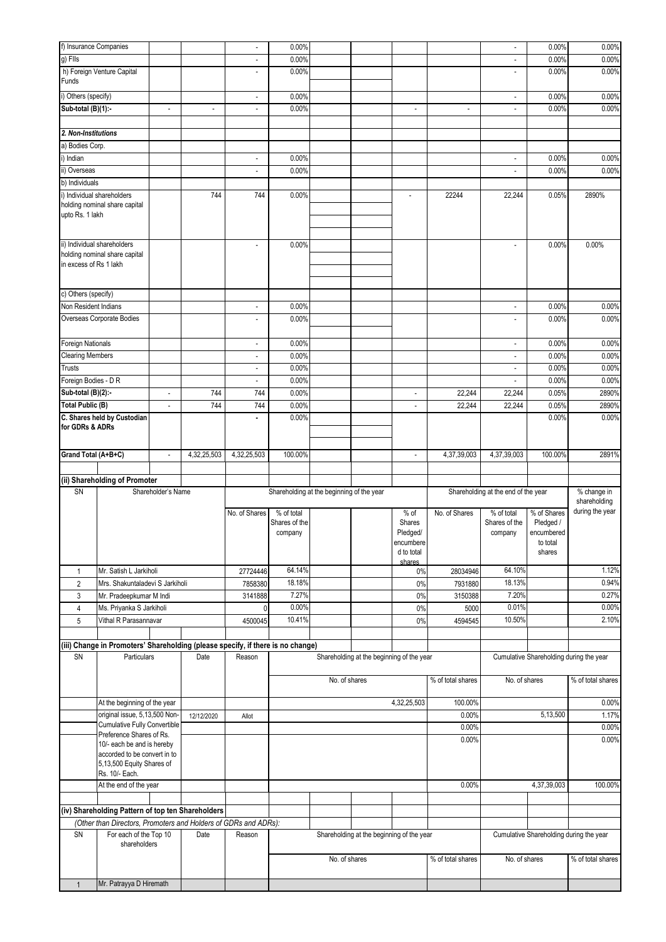| f) Insurance Companies  |                                                                                 |                              |                | $\overline{\phantom{a}}$    | 0.00%                                     |               |                                           |                          |                          | ä,                                  | 0.00%                                   | 0.00%             |
|-------------------------|---------------------------------------------------------------------------------|------------------------------|----------------|-----------------------------|-------------------------------------------|---------------|-------------------------------------------|--------------------------|--------------------------|-------------------------------------|-----------------------------------------|-------------------|
| g) Flls                 |                                                                                 |                              |                | $\blacksquare$              | 0.00%                                     |               |                                           |                          |                          | ä,                                  | 0.00%                                   | 0.00%             |
|                         | h) Foreign Venture Capital                                                      |                              |                | $\overline{a}$              | 0.00%                                     |               |                                           |                          |                          | $\overline{a}$                      | 0.00%                                   | 0.00%             |
| Funds                   |                                                                                 |                              |                |                             |                                           |               |                                           |                          |                          |                                     |                                         |                   |
|                         |                                                                                 |                              |                |                             |                                           |               |                                           |                          |                          |                                     |                                         |                   |
| i) Others (specify)     |                                                                                 |                              |                | $\overline{\phantom{a}}$    | 0.00%                                     |               |                                           |                          |                          | $\overline{\phantom{a}}$            | 0.00%                                   | 0.00%             |
| Sub-total (B)(1):-      |                                                                                 | $\overline{\phantom{a}}$     | $\overline{a}$ | $\overline{a}$              | 0.00%                                     |               |                                           | $\overline{a}$           | $\overline{\phantom{a}}$ | $\overline{a}$                      | 0.00%                                   | 0.00%             |
|                         |                                                                                 |                              |                |                             |                                           |               |                                           |                          |                          |                                     |                                         |                   |
| 2. Non-Institutions     |                                                                                 |                              |                |                             |                                           |               |                                           |                          |                          |                                     |                                         |                   |
| a) Bodies Corp.         |                                                                                 |                              |                |                             |                                           |               |                                           |                          |                          |                                     |                                         |                   |
| i) Indian               |                                                                                 |                              |                | $\overline{\phantom{a}}$    | 0.00%                                     |               |                                           |                          |                          | $\overline{\phantom{a}}$            | 0.00%                                   | 0.00%             |
| ii) Overseas            |                                                                                 |                              |                | $\sim$                      | 0.00%                                     |               |                                           |                          |                          | $\overline{a}$                      | 0.00%                                   | 0.00%             |
| b) Individuals          |                                                                                 |                              |                |                             |                                           |               |                                           |                          |                          |                                     |                                         |                   |
|                         |                                                                                 |                              | 744            | 744                         |                                           |               |                                           |                          | 22244                    |                                     |                                         | 2890%             |
|                         | i) Individual shareholders<br>holding nominal share capital                     |                              |                |                             | 0.00%                                     |               |                                           |                          |                          | 22,244                              | 0.05%                                   |                   |
| upto Rs. 1 lakh         |                                                                                 |                              |                |                             |                                           |               |                                           |                          |                          |                                     |                                         |                   |
|                         |                                                                                 |                              |                |                             |                                           |               |                                           |                          |                          |                                     |                                         |                   |
|                         |                                                                                 |                              |                |                             |                                           |               |                                           |                          |                          |                                     |                                         |                   |
|                         | ii) Individual shareholders                                                     |                              |                | ÷,                          | 0.00%                                     |               |                                           |                          |                          |                                     | 0.00%                                   | 0.00%             |
|                         | holding nominal share capital                                                   |                              |                |                             |                                           |               |                                           |                          |                          |                                     |                                         |                   |
| in excess of Rs 1 lakh  |                                                                                 |                              |                |                             |                                           |               |                                           |                          |                          |                                     |                                         |                   |
|                         |                                                                                 |                              |                |                             |                                           |               |                                           |                          |                          |                                     |                                         |                   |
| c) Others (specify)     |                                                                                 |                              |                |                             |                                           |               |                                           |                          |                          |                                     |                                         |                   |
|                         |                                                                                 |                              |                |                             |                                           |               |                                           |                          |                          |                                     |                                         |                   |
| Non Resident Indians    |                                                                                 |                              |                | $\mathcal{L}_{\mathcal{A}}$ | 0.00%                                     |               |                                           |                          |                          | $\overline{\phantom{a}}$            | 0.00%                                   | 0.00%             |
|                         | Overseas Corporate Bodies                                                       |                              |                | $\overline{\phantom{a}}$    | 0.00%                                     |               |                                           |                          |                          | ٠                                   | 0.00%                                   | 0.00%             |
|                         |                                                                                 |                              |                |                             |                                           |               |                                           |                          |                          |                                     |                                         |                   |
| Foreign Nationals       |                                                                                 |                              |                | $\overline{\phantom{a}}$    | 0.00%                                     |               |                                           |                          |                          | $\overline{a}$                      | 0.00%                                   | 0.00%             |
| <b>Clearing Members</b> |                                                                                 |                              |                | $\overline{\phantom{a}}$    | 0.00%                                     |               |                                           |                          |                          | $\overline{\phantom{m}}$            | 0.00%                                   | 0.00%             |
| <b>Trusts</b>           |                                                                                 |                              |                | $\sim$                      | 0.00%                                     |               |                                           |                          |                          | $\sim$                              | 0.00%                                   | 0.00%             |
| Foreign Bodies - D R    |                                                                                 |                              |                | $\overline{\phantom{a}}$    | 0.00%                                     |               |                                           |                          |                          | $\overline{a}$                      | 0.00%                                   | 0.00%             |
| Sub-total (B)(2):-      |                                                                                 | $\overline{\phantom{a}}$     | 744            | 744                         | 0.00%                                     |               |                                           | ٠                        | 22,244                   | 22,244                              | 0.05%                                   | 2890%             |
|                         |                                                                                 |                              |                |                             |                                           |               |                                           |                          |                          |                                     |                                         |                   |
| <b>Total Public (B)</b> |                                                                                 | $\qquad \qquad \blacksquare$ | 744            | 744                         | 0.00%                                     |               |                                           | $\overline{\phantom{m}}$ | 22,244                   | 22,244                              | 0.05%                                   | 2890%             |
|                         | C. Shares held by Custodian                                                     |                              |                | $\blacksquare$              | 0.00%                                     |               |                                           |                          |                          |                                     | 0.00%                                   | 0.00%             |
| for GDRs & ADRs         |                                                                                 |                              |                |                             |                                           |               |                                           |                          |                          |                                     |                                         |                   |
|                         |                                                                                 |                              |                |                             |                                           |               |                                           |                          |                          |                                     |                                         |                   |
| Grand Total (A+B+C)     |                                                                                 | ÷,                           | 4,32,25,503    | 4,32,25,503                 | 100.00%                                   |               |                                           | $\overline{a}$           | 4,37,39,003              | 4,37,39,003                         | 100.00%                                 | 2891%             |
|                         |                                                                                 |                              |                |                             |                                           |               |                                           |                          |                          |                                     |                                         |                   |
|                         |                                                                                 |                              |                |                             |                                           |               |                                           |                          |                          |                                     |                                         |                   |
|                         |                                                                                 |                              |                |                             |                                           |               |                                           |                          |                          |                                     |                                         |                   |
|                         | (ii) Shareholding of Promoter                                                   |                              |                |                             |                                           |               |                                           |                          |                          |                                     |                                         |                   |
| SN                      |                                                                                 | Shareholder's Name           |                |                             | Shareholding at the beginning of the year |               |                                           |                          |                          | Shareholding at the end of the year |                                         | % change in       |
|                         |                                                                                 |                              |                |                             |                                           |               |                                           |                          |                          |                                     |                                         | shareholding      |
|                         |                                                                                 |                              |                | No. of Shares               | % of total<br>Shares of the               |               |                                           | $%$ of<br>Shares         | No. of Shares            | % of total<br>Shares of the         | % of Shares                             | during the year   |
|                         |                                                                                 |                              |                |                             | company                                   |               |                                           | Pledged/                 |                          | company                             | Pledged /<br>encumbered                 |                   |
|                         |                                                                                 |                              |                |                             |                                           |               |                                           | encumbere                |                          |                                     | to total                                |                   |
|                         |                                                                                 |                              |                |                             |                                           |               |                                           | d to total               |                          |                                     | shares                                  |                   |
|                         |                                                                                 |                              |                |                             |                                           |               |                                           | shares                   |                          |                                     |                                         |                   |
| $\mathbf{1}$            | Mr. Satish L Jarkiholi                                                          |                              |                | 27724446                    | 64.14%                                    |               |                                           | 0%                       | 28034946                 | 64.10%                              |                                         | 1.12%             |
| $\overline{2}$          | Mrs. Shakuntaladevi S Jarkiholi                                                 |                              |                | 7858380                     | 18.18%                                    |               |                                           | 0%                       | 7931880                  | 18.13%                              |                                         | 0.94%             |
| 3                       | Mr. Pradeepkumar M Indi                                                         |                              |                | 3141888                     | 7.27%                                     |               |                                           | 0%                       | 3150388                  | 7.20%                               |                                         | 0.27%             |
| $\overline{4}$          | Ms. Priyanka S Jarkiholi                                                        |                              |                | $\Omega$                    | 0.00%                                     |               |                                           | 0%                       | 5000                     | 0.01%                               |                                         | 0.00%             |
| 5                       | Vithal R Parasannavar                                                           |                              |                | 4500045                     | 10.41%                                    |               |                                           | 0%                       | 4594545                  | 10.50%                              |                                         | 2.10%             |
|                         |                                                                                 |                              |                |                             |                                           |               |                                           |                          |                          |                                     |                                         |                   |
|                         |                                                                                 |                              |                |                             |                                           |               |                                           |                          |                          |                                     |                                         |                   |
|                         | (iii) Change in Promoters' Shareholding (please specify, if there is no change) |                              |                |                             |                                           |               |                                           |                          |                          |                                     |                                         |                   |
| SN                      | Particulars                                                                     |                              | Date           | Reason                      |                                           |               | Shareholding at the beginning of the year |                          |                          |                                     | Cumulative Shareholding during the year |                   |
|                         |                                                                                 |                              |                |                             |                                           |               |                                           |                          |                          |                                     |                                         |                   |
|                         |                                                                                 |                              |                |                             |                                           | No. of shares |                                           |                          | % of total shares        | No. of shares                       |                                         | % of total shares |
|                         |                                                                                 |                              |                |                             |                                           |               |                                           |                          |                          |                                     |                                         |                   |
|                         | At the beginning of the year                                                    |                              |                |                             |                                           |               |                                           | 4,32,25,503              | 100.00%                  |                                     |                                         | 0.00%             |
|                         | original issue, 5,13,500 Non-                                                   |                              | 12/12/2020     | Allot                       |                                           |               |                                           |                          | 0.00%                    |                                     | 5,13,500                                | 1.17%             |
|                         | <b>Cumulative Fully Convertible</b><br>Preference Shares of Rs.                 |                              |                |                             |                                           |               |                                           |                          | 0.00%                    |                                     |                                         | 0.00%             |
|                         | 10/- each be and is hereby                                                      |                              |                |                             |                                           |               |                                           |                          | 0.00%                    |                                     |                                         | 0.00%             |
|                         | accorded to be convert in to                                                    |                              |                |                             |                                           |               |                                           |                          |                          |                                     |                                         |                   |
|                         | 5,13,500 Equity Shares of                                                       |                              |                |                             |                                           |               |                                           |                          |                          |                                     |                                         |                   |
|                         | Rs. 10/- Each.                                                                  |                              |                |                             |                                           |               |                                           |                          |                          |                                     |                                         |                   |
|                         | At the end of the year                                                          |                              |                |                             |                                           |               |                                           |                          | 0.00%                    |                                     | 4,37,39,003                             | 100.00%           |
|                         |                                                                                 |                              |                |                             |                                           |               |                                           |                          |                          |                                     |                                         |                   |
|                         | (iv) Shareholding Pattern of top ten Shareholders                               |                              |                |                             |                                           |               |                                           |                          |                          |                                     |                                         |                   |
|                         | (Other than Directors, Promoters and Holders of GDRs and ADRs):                 |                              |                |                             |                                           |               |                                           |                          |                          |                                     |                                         |                   |
| SN                      |                                                                                 |                              | Date           | Reason                      |                                           |               |                                           |                          |                          |                                     |                                         |                   |
|                         | For each of the Top 10<br>shareholders                                          |                              |                |                             |                                           |               | Shareholding at the beginning of the year |                          |                          |                                     | Cumulative Shareholding during the year |                   |
|                         |                                                                                 |                              |                |                             |                                           |               |                                           |                          |                          |                                     |                                         |                   |
|                         |                                                                                 |                              |                |                             |                                           | No. of shares |                                           |                          | % of total shares        | No. of shares                       |                                         | % of total shares |
| $\mathbf{1}$            | Mr. Patrayya D Hiremath                                                         |                              |                |                             |                                           |               |                                           |                          |                          |                                     |                                         |                   |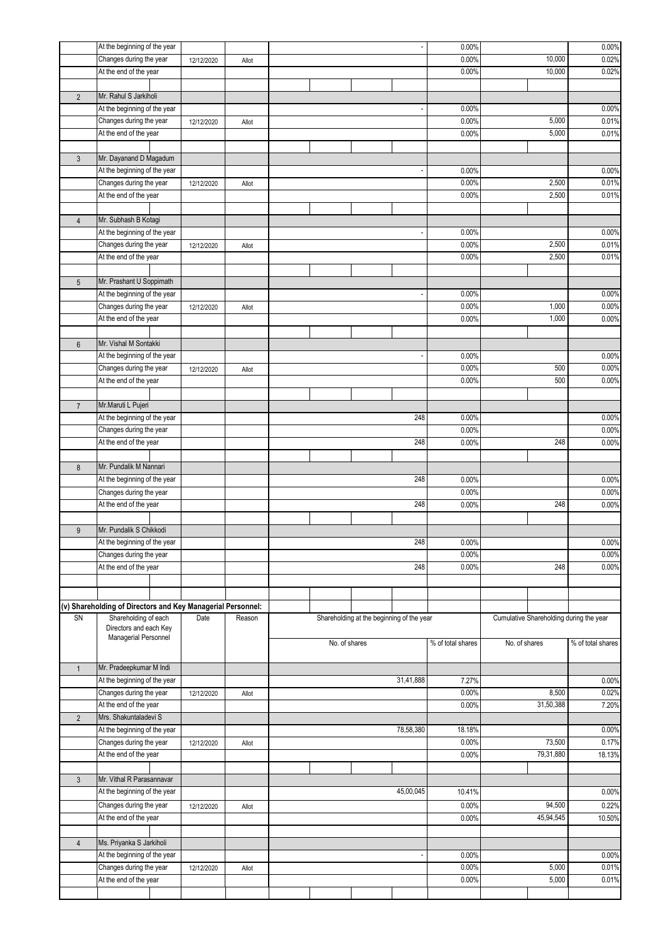|                 | At the beginning of the year                                |            |        |           |  |                                           |                          | 0.00%             |                                         |           | 0.00%             |  |
|-----------------|-------------------------------------------------------------|------------|--------|-----------|--|-------------------------------------------|--------------------------|-------------------|-----------------------------------------|-----------|-------------------|--|
|                 | Changes during the year                                     | 12/12/2020 | Allot  |           |  |                                           |                          | 0.00%             |                                         | 10,000    | 0.02%             |  |
|                 | At the end of the year                                      |            |        |           |  |                                           |                          | 0.00%             |                                         | 10,000    | 0.02%             |  |
|                 |                                                             |            |        |           |  |                                           |                          |                   |                                         |           |                   |  |
| $\overline{2}$  | Mr. Rahul S Jarkiholi                                       |            |        |           |  |                                           |                          |                   |                                         |           |                   |  |
|                 | At the beginning of the year                                |            |        |           |  |                                           |                          | 0.00%             |                                         |           | 0.00%             |  |
|                 | Changes during the year                                     | 12/12/2020 | Allot  |           |  |                                           |                          | 0.00%             |                                         | 5,000     | 0.01%             |  |
|                 | At the end of the year                                      |            |        |           |  |                                           |                          | 0.00%             |                                         | 5,000     | 0.01%             |  |
|                 |                                                             |            |        |           |  |                                           |                          |                   |                                         |           |                   |  |
| $\mathfrak{Z}$  | Mr. Dayanand D Magadum                                      |            |        |           |  |                                           |                          |                   |                                         |           |                   |  |
|                 | At the beginning of the year                                |            |        |           |  |                                           |                          | 0.00%             |                                         |           | 0.00%             |  |
|                 | Changes during the year                                     | 12/12/2020 | Allot  |           |  |                                           |                          | 0.00%             |                                         | 0.01%     |                   |  |
|                 | At the end of the year                                      |            |        |           |  |                                           |                          | 0.00%             | 2,500                                   |           | 0.01%             |  |
|                 |                                                             |            |        |           |  |                                           |                          |                   |                                         |           |                   |  |
| $\overline{4}$  | Mr. Subhash B Kotagi                                        |            |        |           |  |                                           |                          |                   |                                         |           |                   |  |
|                 | At the beginning of the year                                |            |        |           |  |                                           | $\overline{\phantom{a}}$ | 0.00%             |                                         |           | 0.00%             |  |
|                 | Changes during the year                                     | 12/12/2020 | Allot  |           |  |                                           |                          | 0.00%             |                                         | 2,500     | 0.01%             |  |
|                 | At the end of the year                                      |            |        |           |  |                                           |                          | 0.00%             |                                         | 2,500     | 0.01%             |  |
|                 |                                                             |            |        |           |  |                                           |                          |                   |                                         |           |                   |  |
| $5\phantom{.0}$ | Mr. Prashant U Soppimath                                    |            |        |           |  |                                           |                          |                   |                                         |           |                   |  |
|                 | At the beginning of the year                                |            |        |           |  |                                           |                          | 0.00%             |                                         |           | 0.00%             |  |
|                 | Changes during the year                                     | 12/12/2020 | Allot  |           |  |                                           |                          | 0.00%             |                                         | 1,000     | 0.00%             |  |
|                 | At the end of the year                                      |            |        |           |  |                                           |                          | 0.00%             |                                         | 1,000     | 0.00%             |  |
|                 |                                                             |            |        |           |  |                                           |                          |                   |                                         |           |                   |  |
| $6\phantom{.}$  | Mr. Vishal M Sontakki                                       |            |        |           |  |                                           |                          |                   |                                         |           |                   |  |
|                 | At the beginning of the year                                |            |        |           |  |                                           |                          | 0.00%             |                                         |           | 0.00%             |  |
|                 | Changes during the year                                     | 12/12/2020 | Allot  |           |  |                                           |                          | 0.00%             |                                         | 500       | 0.00%             |  |
|                 | At the end of the year                                      |            |        |           |  |                                           |                          | 0.00%             |                                         | 500       | 0.00%             |  |
|                 |                                                             |            |        |           |  |                                           |                          |                   |                                         |           |                   |  |
| $\overline{7}$  | Mr.Maruti L Pujeri                                          |            |        |           |  |                                           |                          |                   |                                         |           |                   |  |
|                 | At the beginning of the year                                |            |        |           |  |                                           | 248                      | 0.00%             |                                         |           | 0.00%             |  |
|                 | Changes during the year                                     |            |        |           |  |                                           |                          | 0.00%             |                                         |           | 0.00%             |  |
|                 | At the end of the year                                      |            |        |           |  |                                           | 248                      | 0.00%             |                                         | 248       | 0.00%             |  |
|                 |                                                             |            |        |           |  |                                           |                          |                   |                                         |           |                   |  |
| $\bf 8$         | Mr. Pundalik M Nannari                                      |            |        |           |  |                                           |                          |                   |                                         |           |                   |  |
|                 | At the beginning of the year                                |            |        | 248       |  |                                           |                          | 0.00%             |                                         |           | 0.00%             |  |
|                 | Changes during the year                                     |            |        |           |  |                                           |                          | 0.00%             |                                         |           | 0.00%             |  |
|                 | At the end of the year                                      |            |        |           |  |                                           |                          |                   | 248                                     |           |                   |  |
|                 |                                                             |            |        |           |  |                                           | 248                      | 0.00%             |                                         |           | 0.00%             |  |
|                 | Mr. Pundalik S Chikkodi                                     |            |        |           |  |                                           |                          |                   |                                         |           |                   |  |
| 9               |                                                             |            |        |           |  |                                           |                          |                   |                                         |           |                   |  |
|                 | At the beginning of the year                                |            |        |           |  |                                           | 248                      | 0.00%             |                                         |           | 0.00%             |  |
|                 | Changes during the year                                     |            |        |           |  |                                           |                          | 0.00%             | 248                                     |           | 0.00%             |  |
|                 | At the end of the year                                      |            |        | 248       |  |                                           |                          | 0.00%             |                                         | 0.00%     |                   |  |
|                 |                                                             |            |        |           |  |                                           |                          |                   |                                         |           |                   |  |
|                 |                                                             |            |        |           |  |                                           |                          |                   |                                         |           |                   |  |
|                 | (v) Shareholding of Directors and Key Managerial Personnel: |            |        |           |  |                                           |                          |                   |                                         |           |                   |  |
| SN              | Shareholding of each                                        | Date       | Reason |           |  | Shareholding at the beginning of the year |                          |                   | Cumulative Shareholding during the year |           |                   |  |
|                 | Directors and each Key<br>Managerial Personnel              |            |        |           |  |                                           |                          |                   |                                         |           |                   |  |
|                 |                                                             |            |        |           |  | No. of shares                             |                          | % of total shares | No. of shares                           |           | % of total shares |  |
|                 |                                                             |            |        |           |  |                                           |                          |                   |                                         |           |                   |  |
| $\mathbf{1}$    | Mr. Pradeepkumar M Indi                                     |            |        |           |  |                                           |                          |                   |                                         |           |                   |  |
|                 | At the beginning of the year                                |            |        | 31,41,888 |  |                                           |                          | 7.27%             |                                         | 0.00%     |                   |  |
|                 | Changes during the year                                     | 12/12/2020 | Allot  |           |  |                                           |                          | 0.00%             |                                         | 8,500     | 0.02%             |  |
|                 | At the end of the year                                      |            |        |           |  |                                           |                          | 0.00%             |                                         | 31,50,388 | 7.20%             |  |
| $\overline{2}$  | Mrs. Shakuntaladevi S                                       |            |        |           |  |                                           |                          |                   |                                         |           |                   |  |
|                 | At the beginning of the year                                |            |        |           |  |                                           | 78,58,380                | 18.18%            |                                         |           | 0.00%             |  |
|                 | Changes during the year                                     | 12/12/2020 | Allot  |           |  |                                           |                          | 0.00%             |                                         | 73,500    | 0.17%             |  |
|                 | At the end of the year                                      |            |        |           |  |                                           |                          | 0.00%             |                                         | 79,31,880 | 18.13%            |  |
|                 |                                                             |            |        |           |  |                                           |                          |                   |                                         |           |                   |  |
| $\mathfrak{Z}$  | Mr. Vithal R Parasannavar                                   |            |        |           |  |                                           |                          |                   |                                         |           |                   |  |
|                 | At the beginning of the year                                |            |        |           |  |                                           | 45,00,045                | 10.41%            |                                         |           | 0.00%             |  |
|                 | Changes during the year                                     | 12/12/2020 | Allot  |           |  |                                           |                          | 0.00%             |                                         | 94,500    | 0.22%             |  |
|                 | At the end of the year                                      |            |        |           |  |                                           |                          | 0.00%             |                                         | 45,94,545 | 10.50%            |  |
|                 |                                                             |            |        |           |  |                                           |                          |                   |                                         |           |                   |  |
| $\overline{4}$  | Ms. Priyanka S Jarkiholi                                    |            |        |           |  |                                           |                          |                   |                                         |           |                   |  |
|                 | At the beginning of the year                                |            |        |           |  |                                           | $\blacksquare$           | 0.00%             |                                         |           | 0.00%             |  |
|                 | Changes during the year                                     | 12/12/2020 | Allot  |           |  |                                           |                          | 0.00%             |                                         | 5,000     | 0.01%             |  |
|                 | At the end of the year                                      |            |        |           |  |                                           |                          | 0.00%             |                                         | 5,000     | 0.01%             |  |
|                 |                                                             |            |        |           |  |                                           |                          |                   |                                         |           |                   |  |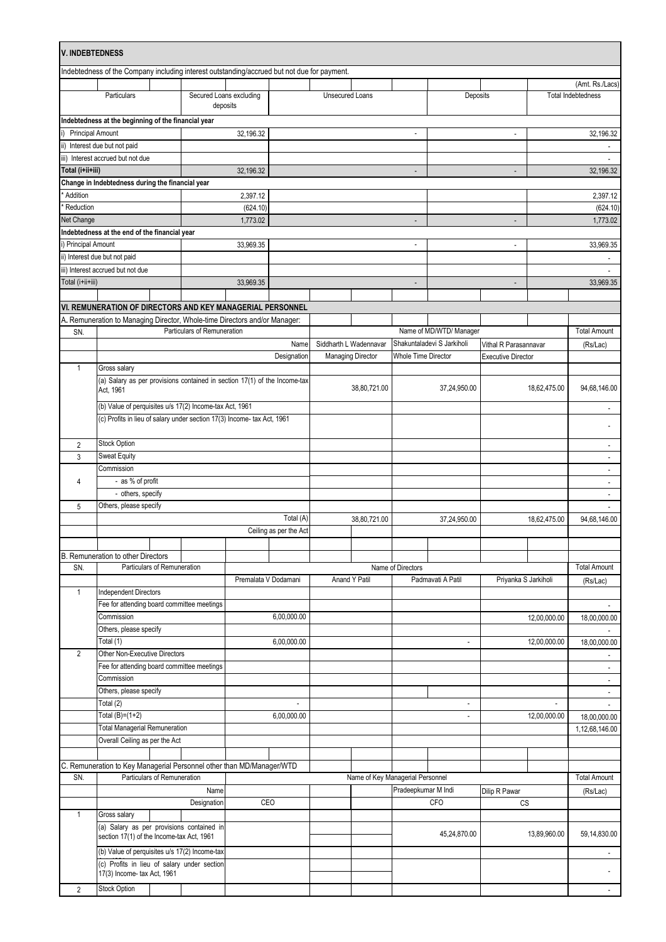| V. INDEBTEDNESS         |                                                                                             |                                     |                      |                        |                 |                                  |                            |                            |                           |                                              |                          |
|-------------------------|---------------------------------------------------------------------------------------------|-------------------------------------|----------------------|------------------------|-----------------|----------------------------------|----------------------------|----------------------------|---------------------------|----------------------------------------------|--------------------------|
|                         | Indebtedness of the Company including interest outstanding/accrued but not due for payment. |                                     |                      |                        |                 |                                  |                            |                            |                           |                                              |                          |
|                         | Particulars                                                                                 | Secured Loans excluding<br>deposits |                      |                        | Unsecured Loans |                                  |                            | Deposits                   |                           | (Amt. Rs./Lacs)<br><b>Total Indebtedness</b> |                          |
|                         |                                                                                             |                                     |                      |                        |                 |                                  |                            |                            |                           |                                              |                          |
| <b>Principal Amount</b> | Indebtedness at the beginning of the financial year                                         |                                     | 32,196.32            |                        |                 |                                  | $\overline{\phantom{a}}$   |                            | $\blacksquare$            |                                              | 32,196.32                |
|                         | ii) Interest due but not paid                                                               |                                     |                      |                        |                 |                                  |                            |                            |                           |                                              |                          |
|                         | iii) Interest accrued but not due                                                           |                                     |                      |                        |                 |                                  |                            |                            |                           |                                              | $\overline{a}$           |
| Total (i+ii+iii)        |                                                                                             |                                     | 32,196.32            |                        |                 |                                  | $\blacksquare$             |                            | $\blacksquare$            |                                              | 32,196.32                |
|                         | Change in Indebtedness during the financial year                                            |                                     |                      |                        |                 |                                  |                            |                            |                           |                                              |                          |
| Addition                |                                                                                             |                                     | 2,397.12             |                        |                 |                                  |                            |                            |                           |                                              | 2,397.12                 |
| Reduction               |                                                                                             |                                     | (624.10)             |                        |                 |                                  |                            |                            |                           |                                              | (624.10)                 |
| Net Change              |                                                                                             |                                     | 1,773.02             |                        |                 |                                  |                            |                            |                           |                                              | 1,773.02                 |
|                         | Indebtedness at the end of the financial year                                               |                                     |                      |                        |                 |                                  |                            |                            |                           |                                              |                          |
| i) Principal Amount     |                                                                                             |                                     | 33,969.35            |                        |                 |                                  |                            |                            | $\overline{a}$            |                                              | 33,969.35                |
|                         | ii) Interest due but not paid                                                               |                                     |                      |                        |                 |                                  |                            |                            |                           |                                              |                          |
|                         | iii) Interest accrued but not due                                                           |                                     |                      |                        |                 |                                  |                            |                            |                           |                                              |                          |
| Total (i+ii+iii)        |                                                                                             |                                     | 33,969.35            |                        |                 |                                  |                            |                            | $\overline{\phantom{a}}$  |                                              | 33,969.35                |
|                         |                                                                                             |                                     |                      |                        |                 |                                  |                            |                            |                           |                                              |                          |
|                         | VI. REMUNERATION OF DIRECTORS AND KEY MANAGERIAL PERSONNEL                                  |                                     |                      |                        |                 |                                  |                            |                            |                           |                                              |                          |
|                         | A. Remuneration to Managing Director, Whole-time Directors and/or Manager:                  |                                     |                      |                        |                 |                                  |                            |                            |                           |                                              |                          |
| SN.                     |                                                                                             | Particulars of Remuneration         |                      |                        |                 |                                  |                            | Name of MD/WTD/ Manager    |                           |                                              | <b>Total Amount</b>      |
|                         |                                                                                             |                                     |                      | Name                   |                 | Siddharth L Wadennavar           |                            | Shakuntaladevi S Jarkiholi | Vithal R Parasannavar     |                                              | (Rs/Lac)                 |
|                         |                                                                                             |                                     |                      | Designation            |                 | <b>Managing Director</b>         | <b>Whole Time Director</b> |                            | <b>Executive Director</b> |                                              |                          |
| $\mathbf{1}$            | Gross salary                                                                                |                                     |                      |                        |                 |                                  |                            |                            |                           |                                              |                          |
|                         | (a) Salary as per provisions contained in section 17(1) of the Income-tax                   |                                     |                      |                        |                 | 38,80,721.00                     |                            | 37,24,950.00               |                           | 18,62,475.00                                 | 94,68,146.00             |
|                         | Act, 1961                                                                                   |                                     |                      |                        |                 |                                  |                            |                            |                           |                                              |                          |
|                         | (b) Value of perquisites u/s 17(2) Income-tax Act, 1961                                     |                                     |                      |                        |                 |                                  |                            |                            |                           |                                              |                          |
|                         | (c) Profits in lieu of salary under section 17(3) Income- tax Act, 1961                     |                                     |                      |                        |                 |                                  |                            |                            |                           |                                              |                          |
|                         |                                                                                             |                                     |                      |                        |                 |                                  |                            |                            |                           |                                              |                          |
| 2                       | Stock Option                                                                                |                                     |                      |                        |                 |                                  |                            |                            |                           |                                              | $\overline{\phantom{a}}$ |
| 3                       | Sweat Equity                                                                                |                                     |                      |                        |                 |                                  |                            |                            |                           |                                              | $\overline{\phantom{a}}$ |
|                         | Commission                                                                                  |                                     |                      |                        |                 |                                  |                            |                            |                           |                                              | $\overline{\phantom{a}}$ |
| 4                       | - as % of profit                                                                            |                                     |                      |                        |                 |                                  |                            |                            |                           |                                              |                          |
|                         | - others, specify                                                                           |                                     |                      |                        |                 |                                  |                            |                            |                           |                                              | $\sim$                   |
| 5                       | Others, please specify                                                                      |                                     |                      |                        |                 |                                  |                            |                            |                           |                                              |                          |
|                         |                                                                                             |                                     |                      | Total (A)              |                 | 38,80,721.00                     |                            | 37,24,950.00               |                           | 18,62,475.00                                 | 94,68,146.00             |
|                         |                                                                                             |                                     |                      | Ceiling as per the Act |                 |                                  |                            |                            |                           |                                              |                          |
|                         |                                                                                             |                                     |                      |                        |                 |                                  |                            |                            |                           |                                              |                          |
| SN.                     | B. Remuneration to other Directors<br>Particulars of Remuneration                           |                                     |                      |                        |                 |                                  | Name of Directors          |                            |                           |                                              | <b>Total Amount</b>      |
|                         |                                                                                             |                                     | Premalata V Dodamani |                        |                 | Anand Y Patil                    | Padmavati A Patil          |                            | Priyanka S Jarkiholi      |                                              |                          |
| $\mathbf{1}$            | <b>Independent Directors</b>                                                                |                                     |                      |                        |                 |                                  |                            |                            |                           |                                              | (Rs/Lac)                 |
|                         | Fee for attending board committee meetings                                                  |                                     |                      |                        |                 |                                  |                            |                            |                           |                                              |                          |
|                         | Commission                                                                                  |                                     |                      | 6,00,000.00            |                 |                                  |                            |                            |                           |                                              |                          |
|                         | Others, please specify                                                                      |                                     |                      |                        |                 |                                  |                            |                            |                           | 12,00,000.00                                 | 18,00,000.00             |
|                         | Total (1)                                                                                   |                                     |                      | 6,00,000.00            |                 |                                  | $\ddot{\phantom{0}}$       |                            | 12,00,000.00              |                                              | 18,00,000.00             |
| $\overline{2}$          | Other Non-Executive Directors                                                               |                                     |                      |                        |                 |                                  |                            |                            |                           |                                              |                          |
|                         | Fee for attending board committee meetings                                                  |                                     |                      |                        |                 |                                  |                            |                            |                           |                                              | $\overline{\phantom{a}}$ |
|                         | Commission                                                                                  |                                     |                      |                        |                 |                                  |                            |                            |                           |                                              |                          |
|                         | Others, please specify                                                                      |                                     |                      |                        |                 |                                  |                            |                            |                           |                                              | $\overline{\phantom{a}}$ |
|                         | Total (2)                                                                                   |                                     |                      |                        |                 |                                  |                            |                            |                           |                                              |                          |
|                         | Total $(B)=(1+2)$                                                                           |                                     |                      | 6,00,000.00            |                 |                                  |                            | $\overline{\phantom{a}}$   |                           | 12,00,000.00                                 | 18,00,000.00             |
|                         | <b>Total Managerial Remuneration</b>                                                        |                                     |                      |                        |                 |                                  |                            |                            |                           |                                              | 1,12,68,146.00           |
|                         | Overall Ceiling as per the Act                                                              |                                     |                      |                        |                 |                                  |                            |                            |                           |                                              |                          |
|                         |                                                                                             |                                     |                      |                        |                 |                                  |                            |                            |                           |                                              |                          |
|                         | C. Remuneration to Key Managerial Personnel other than MD/Manager/WTD                       |                                     |                      |                        |                 |                                  |                            |                            |                           |                                              |                          |
| SN.                     | Particulars of Remuneration                                                                 |                                     |                      |                        |                 | Name of Key Managerial Personnel |                            |                            |                           |                                              | <b>Total Amount</b>      |
|                         |                                                                                             | Name                                |                      |                        |                 |                                  | Pradeepkumar M Indi        |                            | Dilip R Pawar             |                                              | (Rs/Lac)                 |
|                         |                                                                                             | Designation                         | CEO                  |                        |                 |                                  |                            | <b>CFO</b>                 | <b>CS</b>                 |                                              |                          |
| $\mathbf{1}$            | Gross salary                                                                                |                                     |                      |                        |                 |                                  |                            |                            |                           |                                              |                          |
|                         | (a) Salary as per provisions contained in                                                   |                                     |                      |                        |                 |                                  |                            |                            |                           |                                              |                          |
|                         | section 17(1) of the Income-tax Act, 1961                                                   |                                     |                      |                        |                 |                                  |                            | 45,24,870.00               |                           | 13,89,960.00                                 | 59,14,830.00             |
|                         | (b) Value of perquisites u/s 17(2) Income-tax                                               |                                     |                      |                        |                 |                                  |                            |                            |                           |                                              | $\blacksquare$           |
|                         | (c) Profits in lieu of salary under section                                                 |                                     |                      |                        |                 |                                  |                            |                            |                           |                                              |                          |
|                         | 17(3) Income- tax Act, 1961                                                                 |                                     |                      |                        |                 |                                  |                            |                            |                           |                                              |                          |
| $\overline{2}$          | Stock Option                                                                                |                                     |                      |                        |                 |                                  |                            |                            |                           |                                              |                          |